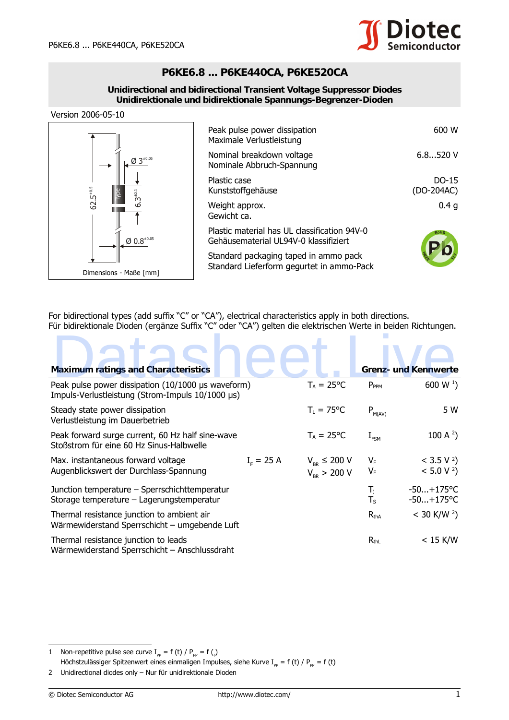

## **P6KE6.8 ... P6KE440CA, P6KE520CA**

### **Unidirectional and bidirectional Transient Voltage Suppressor Diodes Unidirektionale und bidirektionale Spannungs-Begrenzer-Dioden**

Version 2006-05-10

| $\emptyset$ 3 <sup>±0.05</sup><br>$62.5^{\pm0.5}$<br>$6.3^{+0.1}$<br>$\emptyset$ 0.8 <sup>±0.05</sup><br>Dimensions - Maße [mm] | Peak pulse power dissipation<br>Maximale Verlustleistung                              | 600 W                 |
|---------------------------------------------------------------------------------------------------------------------------------|---------------------------------------------------------------------------------------|-----------------------|
|                                                                                                                                 | Nominal breakdown voltage<br>Nominale Abbruch-Spannung                                | 6.8520V               |
|                                                                                                                                 | Plastic case<br>Kunststoffgehäuse                                                     | $DO-15$<br>(DO-204AC) |
|                                                                                                                                 | Weight approx.<br>Gewicht ca.                                                         | 0.4 <sub>q</sub>      |
|                                                                                                                                 | Plastic material has UL classification 94V-0<br>Gehäusematerial UL94V-0 klassifiziert |                       |
|                                                                                                                                 | Standard packaging taped in ammo pack<br>Standard Lieferform gegurtet in ammo-Pack    |                       |

| $\mathsf{3}^{_{\pm0.1}}$                                                                                                                                                                                                                                                       | Kunststoffgehause                                                                  |                                       |                                              |                               | (DO-204AC)                                       |
|--------------------------------------------------------------------------------------------------------------------------------------------------------------------------------------------------------------------------------------------------------------------------------|------------------------------------------------------------------------------------|---------------------------------------|----------------------------------------------|-------------------------------|--------------------------------------------------|
| $62.5^{40}$<br>ئە                                                                                                                                                                                                                                                              | Weight approx.<br>Gewicht ca.                                                      |                                       |                                              |                               | 0.4 <sub>g</sub>                                 |
| $Q 0.8^{+0.05}$                                                                                                                                                                                                                                                                |                                                                                    | Gehäusematerial UL94V-0 klassifiziert | Plastic material has UL classification 94V-0 |                               |                                                  |
|                                                                                                                                                                                                                                                                                | Standard packaging taped in ammo pack<br>Standard Lieferform gegurtet in ammo-Pack |                                       |                                              |                               |                                                  |
| Dimensions - Maße [mm]<br>For bidirectional types (add suffix "C" or "CA"), electrical characteristics apply in both directions.                                                                                                                                               |                                                                                    |                                       |                                              |                               |                                                  |
| Für bidirektionale Dioden (ergänze Suffix "C" oder "CA") gelten die elektrischen Werte in beiden Richtungen.                                                                                                                                                                   |                                                                                    |                                       |                                              |                               |                                                  |
|                                                                                                                                                                                                                                                                                |                                                                                    |                                       |                                              |                               |                                                  |
| <b>Maximum ratings and Characteristics</b>                                                                                                                                                                                                                                     |                                                                                    |                                       |                                              |                               | <b>Grenz- und Kennwerte</b>                      |
| Peak pulse power dissipation (10/1000 µs waveform)<br>Impuls-Verlustleistung (Strom-Impuls 10/1000 µs)                                                                                                                                                                         |                                                                                    |                                       | $T_A = 25$ °C                                | $P_{PPM}$                     | 600 W $^{1}$ )                                   |
| Steady state power dissipation<br>Verlustleistung im Dauerbetrieb                                                                                                                                                                                                              |                                                                                    |                                       | $T_{L} = 75^{\circ}C$                        | $\mathsf{P}_{\textsf{M(AV)}}$ | 5 W                                              |
| Peak forward surge current, 60 Hz half sine-wave<br>Stoßstrom für eine 60 Hz Sinus-Halbwelle                                                                                                                                                                                   |                                                                                    |                                       | $T_A = 25$ °C                                | $I_{FSM}$                     | 100 A $^{2}$ )                                   |
| Max. instantaneous forward voltage<br>Augenblickswert der Durchlass-Spannung                                                                                                                                                                                                   |                                                                                    | $I_{F} = 25 A$                        | $V_{BR} \leq 200 V$<br>$V_{_{RR}} > 200 V$   | $V_{F}$<br>$V_F$              | $<$ 3.5 V <sup>2</sup> )<br>< 5.0 V <sup>2</sup> |
| Junction temperature - Sperrschichttemperatur<br>Storage temperature - Lagerungstemperatur                                                                                                                                                                                     |                                                                                    |                                       |                                              | $T_i$<br>$T_S$                | $-50+175$ °C<br>$-50+175$ °C                     |
| Thermal resistance junction to ambient air<br>Wärmewiderstand Sperrschicht - umgebende Luft                                                                                                                                                                                    |                                                                                    |                                       |                                              | $R_{thA}$                     | $<$ 30 K/W $^{2}$ )                              |
| Thermal resistance junction to leads<br>Wärmewiderstand Sperrschicht - Anschlussdraht                                                                                                                                                                                          |                                                                                    |                                       |                                              | $R_{thL}$                     | $< 15$ K/W                                       |
| Non-repetitive pulse see curve $I_{\text{pp}} = f(t) / P_{\text{pp}} = f(t)$<br>1<br>Höchstzulässiger Spitzenwert eines einmaligen Impulses, siehe Kurve I <sub>pp</sub> = f (t) / P <sub>pp</sub> = f (t)<br>Unidirectional diodes only - Nur für unidirektionale Dioden<br>2 |                                                                                    |                                       |                                              |                               |                                                  |
| © Diotec Semiconductor AG                                                                                                                                                                                                                                                      |                                                                                    | http://www.diotec.com/                |                                              |                               |                                                  |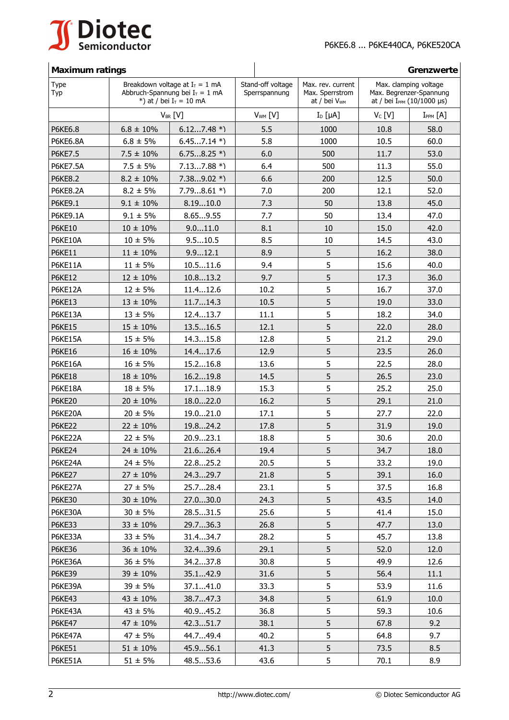

# **Maximum ratings Greenzwerte**

| <b>Type</b><br>Typ | Breakdown voltage at $I_T = 1$ mA<br>Abbruch-Spannung bei $I_T = 1$ mA<br>*) at / bei $I_T = 10$ mA |              | Stand-off voltage<br>Sperrspannung | Max. rev. current<br>Max. Sperrstrom<br>at / bei V <sub>WM</sub> | Max. clamping voltage<br>Max. Begrenzer-Spannung<br>at / bei $I_{PPM}$ (10/1000 µs) |                 |
|--------------------|-----------------------------------------------------------------------------------------------------|--------------|------------------------------------|------------------------------------------------------------------|-------------------------------------------------------------------------------------|-----------------|
|                    | $V_{BR}$ [V]                                                                                        |              | $V_{WM}$ [V]                       | $I_D$ [ $\mu$ A]                                                 | $V_c$ [V]                                                                           | $I_{PPM}$ $[A]$ |
| P6KE6.8            | $6.8 \pm 10\%$                                                                                      | $6.127.48*$  | 5.5                                | 1000                                                             | 10.8                                                                                | 58.0            |
| <b>P6KE6.8A</b>    | $6.8 \pm 5\%$                                                                                       | $6.457.14*$  | 5.8                                | 1000                                                             | 10.5                                                                                | 60.0            |
| P6KE7.5            | $7.5 \pm 10\%$                                                                                      | $6.758.25*$  | 6.0                                | 500                                                              | 11.7                                                                                | 53.0            |
| <b>P6KE7.5A</b>    | $7.5 \pm 5\%$                                                                                       | $7.137.88 *$ | 6.4                                | 500                                                              | 11.3                                                                                | 55.0            |
| <b>P6KE8.2</b>     | $8.2 \pm 10\%$                                                                                      | $7.389.02 *$ | 6.6                                | 200                                                              | 12.5                                                                                | 50.0            |
| <b>P6KF8.2A</b>    | $8.2 \pm 5\%$                                                                                       | $7.798.61 *$ | 7.0                                | 200                                                              | 12.1                                                                                | 52.0            |
| P6KE9.1            | $9.1 \pm 10\%$                                                                                      | 8.1910.0     | 7.3                                | 50                                                               | 13.8                                                                                | 45.0            |
| <b>P6KE9.1A</b>    | $9.1 \pm 5\%$                                                                                       | 8.659.55     | 7.7                                | 50                                                               | 13.4                                                                                | 47.0            |
| <b>P6KE10</b>      | $10 \pm 10\%$                                                                                       | 9.011.0      | 8.1                                | 10                                                               | 15.0                                                                                | 42.0            |
| <b>P6KE10A</b>     | $10 \pm 5\%$                                                                                        | 9.510.5      | 8.5                                | 10                                                               | 14.5                                                                                | 43.0            |
| <b>P6KE11</b>      | $11 \pm 10\%$                                                                                       | 9.912.1      | 8.9                                | 5                                                                | 16.2                                                                                | 38.0            |
| P6KE11A            | $11 \pm 5\%$                                                                                        | 10.511.6     | 9.4                                | 5                                                                | 15.6                                                                                | 40.0            |
| <b>P6KE12</b>      | $12 \pm 10\%$                                                                                       | 10.813.2     | 9.7                                | 5                                                                | 17.3                                                                                | 36.0            |
| P6KE12A            | $12 \pm 5\%$                                                                                        | 11.412.6     | 10.2                               | 5                                                                | 16.7                                                                                | 37.0            |
| <b>P6KE13</b>      | $13 \pm 10\%$                                                                                       | 11.714.3     | 10.5                               | 5                                                                | 19.0                                                                                | 33.0            |
| P6KE13A            | $13 \pm 5\%$                                                                                        | 12.413.7     | 11.1                               | 5                                                                | 18.2                                                                                | 34.0            |
| <b>P6KE15</b>      | $15 \pm 10\%$                                                                                       | 13.516.5     | 12.1                               | 5                                                                | 22.0                                                                                | 28.0            |
| P6KE15A            | $15 \pm 5\%$                                                                                        | 14.315.8     | 12.8                               | 5                                                                | 21.2                                                                                | 29.0            |
| <b>P6KE16</b>      | $16 \pm 10\%$                                                                                       | 14.417.6     | 12.9                               | 5                                                                | 23.5                                                                                | 26.0            |
| P6KE16A            | $16 \pm 5\%$                                                                                        | 15.216.8     | 13.6                               | 5                                                                | 22.5                                                                                | 28.0            |
| <b>P6KE18</b>      | $18 \pm 10\%$                                                                                       | 16.219.8     | 14.5                               | 5                                                                | 26.5                                                                                | 23.0            |
| P6KE18A            | $18 \pm 5\%$                                                                                        | 17.118.9     | 15.3                               | 5                                                                | 25.2                                                                                | 25.0            |
| <b>P6KE20</b>      | $20 \pm 10\%$                                                                                       | 18.022.0     | 16.2                               | 5                                                                | 29.1                                                                                | 21.0            |
| P6KE20A            | $20 \pm 5\%$                                                                                        | 19.021.0     | 17.1                               | 5                                                                | 27.7                                                                                | 22.0            |
| <b>P6KE22</b>      | $22 \pm 10\%$                                                                                       | 19.824.2     | 17.8                               | 5                                                                | 31.9                                                                                | 19.0            |
| P6KE22A            | $22 \pm 5\%$                                                                                        | 20.923.1     | 18.8                               | 5                                                                | 30.6                                                                                | 20.0            |
| <b>P6KE24</b>      | $24 \pm 10\%$                                                                                       | 21.626.4     | 19.4                               | 5                                                                | 34.7                                                                                | 18.0            |
| P6KE24A            | $24 \pm 5\%$                                                                                        | 22.825.2     | 20.5                               | 5                                                                | 33.2                                                                                | 19.0            |
| <b>P6KE27</b>      | $27 \pm 10\%$                                                                                       | 24.329.7     | 21.8                               | 5                                                                | 39.1                                                                                | 16.0            |
| P6KE27A            | $27 \pm 5\%$                                                                                        | 25.728.4     | 23.1                               | 5                                                                | 37.5                                                                                | 16.8            |
| <b>P6KE30</b>      | $30 \pm 10\%$                                                                                       | 27.030.0     | 24.3                               | 5                                                                | 43.5                                                                                | 14.0            |
| P6KE30A            | $30 \pm 5\%$                                                                                        | 28.531.5     | 25.6                               | 5                                                                | 41.4                                                                                | 15.0            |
| <b>P6KE33</b>      | $33 \pm 10\%$                                                                                       | 29.736.3     | 26.8                               | 5                                                                | 47.7                                                                                | 13.0            |
| P6KE33A            | $33 \pm 5\%$                                                                                        | 31.434.7     | 28.2                               | 5                                                                | 45.7                                                                                | 13.8            |
| <b>P6KE36</b>      | $36 \pm 10\%$                                                                                       | 32.439.6     | 29.1                               | 5                                                                | 52.0                                                                                | 12.0            |
| P6KE36A            | $36 \pm 5\%$                                                                                        | 34.237.8     | 30.8                               | 5                                                                | 49.9                                                                                | 12.6            |
| <b>P6KE39</b>      | $39 \pm 10\%$                                                                                       | 35.142.9     | 31.6                               | 5                                                                | 56.4                                                                                | 11.1            |
| P6KE39A            | $39 \pm 5\%$                                                                                        | 37.141.0     | 33.3                               | 5                                                                | 53.9                                                                                | 11.6            |
| <b>P6KE43</b>      | $43 \pm 10\%$                                                                                       | 38.747.3     | 34.8                               | 5                                                                | 61.9                                                                                | 10.0            |
| P6KE43A            | $43 \pm 5\%$                                                                                        | 40.945.2     | 36.8                               | 5                                                                | 59.3                                                                                | 10.6            |
| <b>P6KE47</b>      | $47 \pm 10\%$                                                                                       | 42.351.7     | 38.1                               | 5                                                                | 67.8                                                                                | 9.2             |
| P6KE47A            | $47 \pm 5\%$                                                                                        | 44.749.4     | 40.2                               | 5                                                                | 64.8                                                                                | 9.7             |
| <b>P6KE51</b>      | $51 \pm 10\%$                                                                                       | 45.956.1     | 41.3                               | 5                                                                | 73.5                                                                                | 8.5             |
| P6KE51A            | $51 \pm 5\%$                                                                                        | 48.553.6     | 43.6                               | 5                                                                | 70.1                                                                                | 8.9             |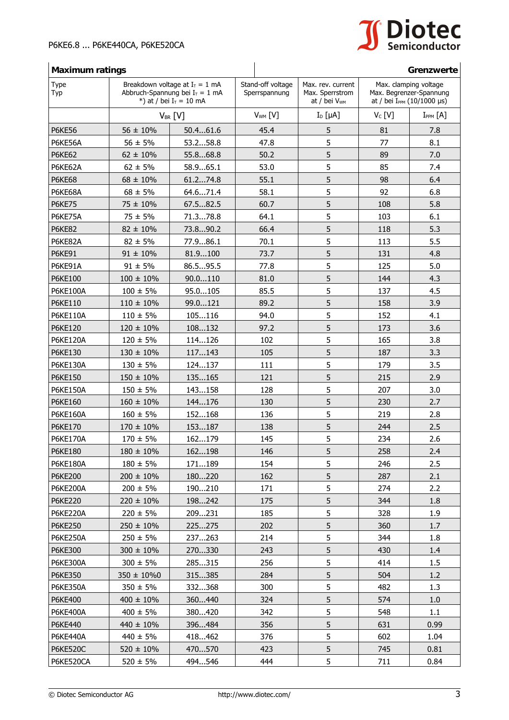

## **Maximum ratings Greenzwerte Greenzwerte Greenzwerte**

| <b>Type</b><br>Typ | Breakdown voltage at $I_T = 1$ mA<br>Abbruch-Spannung bei $I_T = 1$ mA<br>*) at / bei $I_T = 10$ mA |          | Stand-off voltage<br>Sperrspannung | Max. rev. current<br>Max. Sperrstrom<br>at / bei V <sub>WM</sub> | Max. clamping voltage<br>Max. Begrenzer-Spannung<br>at / bei I <sub>PPM</sub> (10/1000 µs) |                 |
|--------------------|-----------------------------------------------------------------------------------------------------|----------|------------------------------------|------------------------------------------------------------------|--------------------------------------------------------------------------------------------|-----------------|
|                    | $V_{BR}$ [V]                                                                                        |          | $V_{WM}$ [V]                       | $I_D$ [ $\mu$ A]                                                 | $V_C$ [V]                                                                                  | $I_{PPM}$ $[A]$ |
| <b>P6KE56</b>      | $56 \pm 10\%$                                                                                       | 50.461.6 | 45.4                               | 5                                                                | 81                                                                                         | 7.8             |
| P6KE56A            | $56 \pm 5\%$                                                                                        | 53.258.8 | 47.8                               | 5                                                                | 77                                                                                         | 8.1             |
| <b>P6KE62</b>      | $62 \pm 10\%$                                                                                       | 55.868.8 | 50.2                               | 5                                                                | 89                                                                                         | 7.0             |
| P6KE62A            | $62 \pm 5\%$                                                                                        | 58.965.1 | 53.0                               | 5                                                                | 85                                                                                         | 7.4             |
| <b>P6KE68</b>      | $68 \pm 10\%$                                                                                       | 61.274.8 | 55.1                               | 5                                                                | 98                                                                                         | 6.4             |
| P6KE68A            | $68 \pm 5\%$                                                                                        | 64.671.4 | 58.1                               | 5                                                                | 92                                                                                         | 6.8             |
| <b>P6KE75</b>      | $75 \pm 10\%$                                                                                       | 67.582.5 | 60.7                               | 5                                                                | 108                                                                                        | 5.8             |
| P6KE75A            | $75 \pm 5\%$                                                                                        | 71.378.8 | 64.1                               | 5                                                                | 103                                                                                        | 6.1             |
| <b>P6KE82</b>      | $82 \pm 10\%$                                                                                       | 73.890.2 | 66.4                               | 5                                                                | 118                                                                                        | 5.3             |
| P6KE82A            | $82 \pm 5\%$                                                                                        | 77.986.1 | 70.1                               | 5                                                                | 113                                                                                        | 5.5             |
| <b>P6KE91</b>      | $91 \pm 10\%$                                                                                       | 81.9100  | 73.7                               | 5                                                                | 131                                                                                        | 4.8             |
| P6KE91A            | $91 \pm 5\%$                                                                                        | 86.595.5 | 77.8                               | 5                                                                | 125                                                                                        | 5.0             |
| P6KE100            | $100 \pm 10\%$                                                                                      | 90.0110  | 81.0                               | 5                                                                | 144                                                                                        | 4.3             |
| P6KE100A           | $100 \pm 5\%$                                                                                       | 95.0105  | 85.5                               | 5                                                                | 137                                                                                        | 4.5             |
| P6KE110            | $110 \pm 10\%$                                                                                      | 99.0121  | 89.2                               | 5                                                                | 158                                                                                        | 3.9             |
| P6KE110A           | $110 \pm 5\%$                                                                                       | 105116   | 94.0                               | 5                                                                | 152                                                                                        | 4.1             |
| P6KE120            | $120 \pm 10\%$                                                                                      | 108132   | 97.2                               | 5                                                                | 173                                                                                        | 3.6             |
| P6KE120A           | $120 \pm 5\%$                                                                                       | 114126   | 102                                | 5                                                                | 165                                                                                        | 3.8             |
| P6KE130            | $130 \pm 10\%$                                                                                      | 117143   | 105                                | 5                                                                | 187                                                                                        | 3.3             |
| <b>P6KE130A</b>    | $130 \pm 5\%$                                                                                       | 124137   | 111                                | 5                                                                | 179                                                                                        | 3.5             |
| P6KE150            | $150 \pm 10\%$                                                                                      | 135165   | 121                                | 5                                                                | 215                                                                                        | 2.9             |
| <b>P6KE150A</b>    | $150 \pm 5\%$                                                                                       | 143158   | 128                                | 5                                                                | 207                                                                                        | 3.0             |
| P6KE160            | $160 \pm 10\%$                                                                                      | 144176   | 130                                | 5                                                                | 230                                                                                        | 2.7             |
| P6KE160A           | $160 \pm 5\%$                                                                                       | 152168   | 136                                | 5                                                                | 219                                                                                        | 2.8             |
| P6KE170            | $170 \pm 10\%$                                                                                      | 153187   | 138                                | 5                                                                | 244                                                                                        | 2.5             |
| <b>P6KE170A</b>    | $170 \pm 5\%$                                                                                       | 162179   | 145                                | 5                                                                | 234                                                                                        | 2.6             |
| P6KE180            | $180 \pm 10\%$                                                                                      | 162198   | 146                                | 5                                                                | 258                                                                                        | 2.4             |
| <b>P6KE180A</b>    | $180 \pm 5\%$                                                                                       | 171189   | 154                                | 5                                                                | 246                                                                                        | 2.5             |
| P6KE200            | $200 \pm 10\%$                                                                                      | 180220   | 162                                | 5                                                                | 287                                                                                        | 2.1             |
| <b>P6KE200A</b>    | $200 \pm 5\%$                                                                                       | 190210   | 171                                | 5                                                                | 274                                                                                        | 2.2             |
| P6KE220            | $220 \pm 10\%$                                                                                      | 198242   | 175                                | 5                                                                | 344                                                                                        | 1.8             |
| <b>P6KE220A</b>    | $220 \pm 5\%$                                                                                       | 209231   | 185                                | 5                                                                | 328                                                                                        | 1.9             |
| <b>P6KE250</b>     | $250 \pm 10\%$                                                                                      | 225275   | 202                                | 5                                                                | 360                                                                                        | 1.7             |
| <b>P6KE250A</b>    | $250 \pm 5\%$                                                                                       | 237263   | 214                                | 5                                                                | 344                                                                                        | 1.8             |
| P6KE300            | $300 \pm 10\%$                                                                                      | 270330   | 243                                | 5                                                                | 430                                                                                        | 1.4             |
| P6KE300A           | $300 \pm 5\%$                                                                                       | 285315   | 256                                | 5                                                                | 414                                                                                        | 1.5             |
| P6KE350            | $350 \pm 10\%$ 0                                                                                    | 315385   | 284                                | 5                                                                | 504                                                                                        | 1.2             |
| <b>P6KE350A</b>    | $350 \pm 5\%$                                                                                       | 332368   | 300                                | 5                                                                | 482                                                                                        | 1.3             |
| P6KE400            | $400 \pm 10\%$                                                                                      | 360440   | 324                                | 5                                                                | 574                                                                                        | 1.0             |
| <b>P6KE400A</b>    | $400 \pm 5\%$                                                                                       | 380420   | 342                                | 5                                                                | 548                                                                                        | 1.1             |
| P6KE440            | $440 \pm 10\%$                                                                                      | 396484   | 356                                | 5                                                                | 631                                                                                        | 0.99            |
| <b>P6KE440A</b>    | $440 \pm 5\%$                                                                                       | 418462   | 376                                | 5                                                                | 602                                                                                        | 1.04            |
| <b>P6KE520C</b>    | $520 \pm 10\%$                                                                                      | 470570   | 423                                | 5                                                                | 745                                                                                        | 0.81            |
| P6KE520CA          | $520 \pm 5\%$                                                                                       | 494546   | 444                                | 5                                                                | 711                                                                                        | 0.84            |